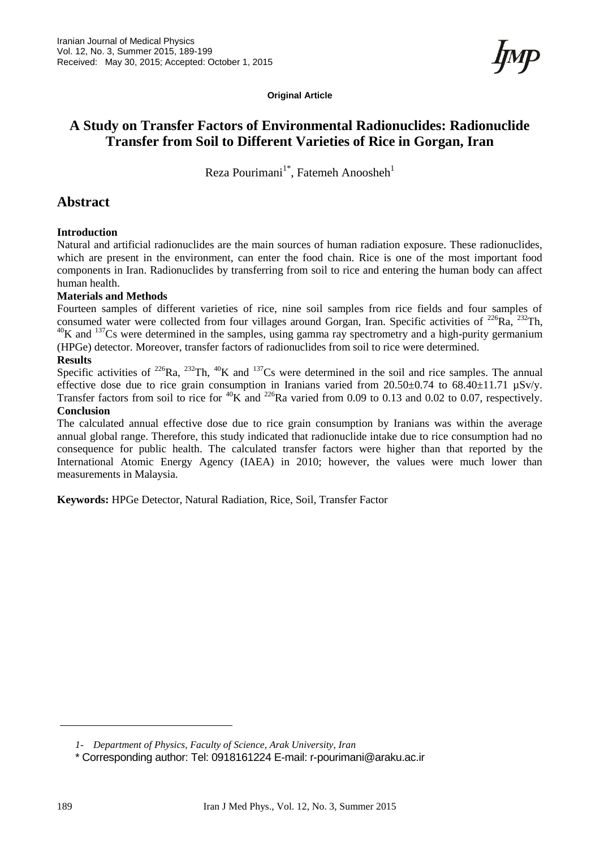**Original Article**

# **A Study on Transfer Factors of Environmental Radionuclides: Radionuclide Transfer from Soil to Different Varieties of Rice in Gorgan, Iran**

Reza Pourimani<sup>1\*</sup>, Fatemeh Anoosheh<sup>1</sup>

# **Abstract**

#### **Introduction**

Natural and artificial radionuclides are the main sources of human radiation exposure. These radionuclides, which are present in the environment, can enter the food chain. Rice is one of the most important food components in Iran. Radionuclides by transferring from soil to rice and entering the human body can affect human health.

#### **Materials and Methods**

Fourteen samples of different varieties of rice, nine soil samples from rice fields and four samples of consumed water were collected from four villages around Gorgan, Iran. Specific activities of <sup>226</sup>Ra, <sup>232</sup>Th,  $^{40}$ K and  $^{137}$ Cs were determined in the samples, using gamma ray spectrometry and a high-purity germanium (HPGe) detector. Moreover, transfer factors of radionuclides from soil to rice were determined.

#### **Results**

Specific activities of <sup>226</sup>Ra, <sup>232</sup>Th, <sup>40</sup>K and <sup>137</sup>Cs were determined in the soil and rice samples. The annual effective dose due to rice grain consumption in Iranians varied from  $20.50\pm0.74$  to  $68.40\pm11.71$   $\mu$ Sv/y. Transfer factors from soil to rice for  ${}^{40}$ K and  ${}^{226}$ Ra varied from 0.09 to 0.13 and 0.02 to 0.07, respectively. **Conclusion**

The calculated annual effective dose due to rice grain consumption by Iranians was within the average annual global range. Therefore, this study indicated that radionuclide intake due to rice consumption had no consequence for public health. The calculated transfer factors were higher than that reported by the International Atomic Energy Agency (IAEA) in 2010; however, the values were much lower than measurements in Malaysia.

**Keywords:** HPGe Detector, Natural Radiation, Rice, Soil, Transfer Factor

*<sup>1-</sup> Department of Physics, Faculty of Science, Arak University, Iran*

<sup>\*</sup> Corresponding author: Tel: 0918161224 E-mail: r-pourimani@araku.ac.ir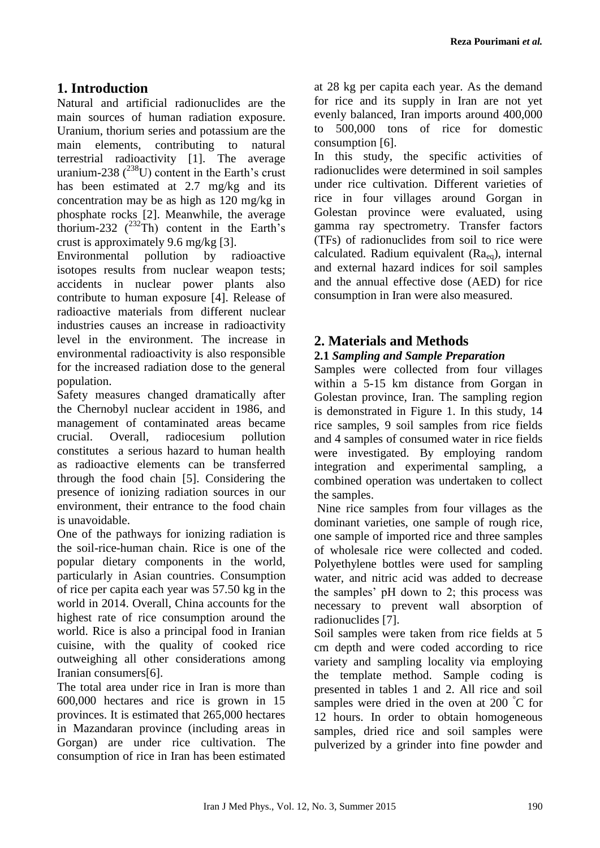# **1. Introduction**

Natural and artificial radionuclides are the main sources of human radiation exposure. Uranium, thorium series and potassium are the main elements, contributing to natural terrestrial radioactivity [1]. The average uranium-238  $(^{238}U)$  content in the Earth's crust has been estimated at 2.7 mg/kg and its concentration may be as high as 120 mg/kg in phosphate rocks [2]. Meanwhile, the average thorium-232  $(^{232}Th)$  content in the Earth's crust is approximately 9.6 mg/kg [3].

Environmental pollution by radioactive isotopes results from nuclear weapon tests; accidents in nuclear power plants also contribute to human exposure [4]. Release of radioactive materials from different nuclear industries causes an increase in radioactivity level in the environment. The increase in environmental radioactivity is also responsible for the increased radiation dose to the general population.

Safety measures changed dramatically after the Chernobyl nuclear accident in 1986, and management of contaminated areas became crucial. Overall, radiocesium pollution constitutes a serious hazard to human health as radioactive elements can be transferred through the food chain [5]. Considering the presence of ionizing radiation sources in our environment, their entrance to the food chain is unavoidable.

One of the pathways for ionizing radiation is the soil-rice-human chain. Rice is one of the popular dietary components in the world, particularly in Asian countries. Consumption of rice per capita each year was 57.50 kg in the world in 2014. Overall, China accounts for the highest rate of rice consumption around the world. Rice is also a principal food in Iranian cuisine, with the quality of cooked rice outweighing all other considerations among Iranian consumers[6].

The total area under rice in Iran is more than 600,000 hectares and rice is grown in 15 provinces. It is estimated that 265,000 hectares in Mazandaran province (including areas in Gorgan) are under rice cultivation. The consumption of rice in Iran has been estimated at 28 kg per capita each year. As the demand for rice and its supply in Iran are not yet evenly balanced, Iran imports around 400,000 to 500,000 tons of rice for domestic consumption [6].

In this study, the specific activities of radionuclides were determined in soil samples under rice cultivation. Different varieties of rice in four villages around Gorgan in Golestan province were evaluated, using gamma ray spectrometry. Transfer factors (TFs) of radionuclides from soil to rice were calculated. Radium equivalent (Raeq), internal and external hazard indices for soil samples and the annual effective dose (AED) for rice consumption in Iran were also measured.

# **2. Materials and Methods**

### **2.1** *Sampling and Sample Preparation*

Samples were collected from four villages within a 5-15 km distance from Gorgan in Golestan province, Iran. The sampling region is demonstrated in Figure 1. In this study, 14 rice samples, 9 soil samples from rice fields and 4 samples of consumed water in rice fields were investigated. By employing random integration and experimental sampling, a combined operation was undertaken to collect the samples.

Nine rice samples from four villages as the dominant varieties, one sample of rough rice, one sample of imported rice and three samples of wholesale rice were collected and coded. Polyethylene bottles were used for sampling water, and nitric acid was added to decrease the samples' pH down to 2; this process was necessary to prevent wall absorption of radionuclides [7].

Soil samples were taken from rice fields at 5 cm depth and were coded according to rice variety and sampling locality via employing the template method. Sample coding is presented in tables 1 and 2. All rice and soil samples were dried in the oven at 200 °C for 12 hours. In order to obtain homogeneous samples, dried rice and soil samples were pulverized by a grinder into fine powder and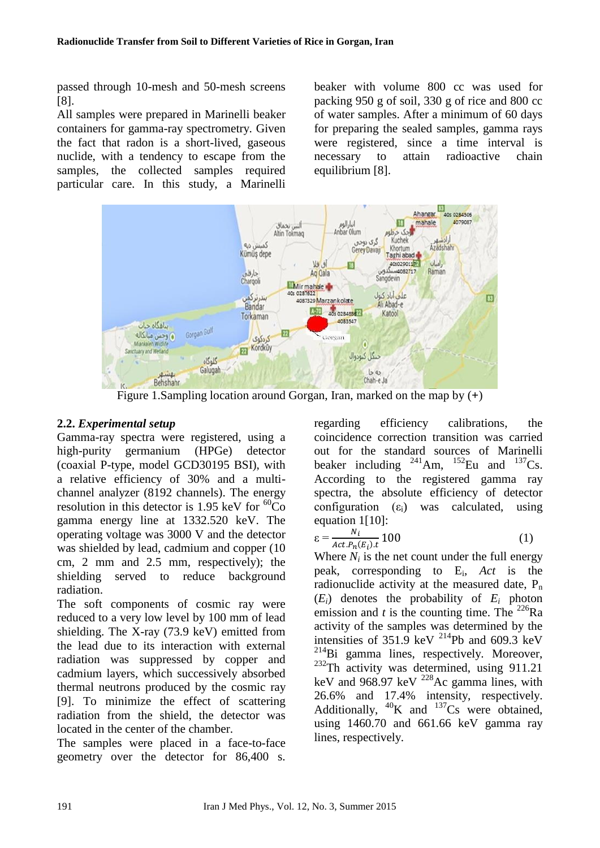passed through 10-mesh and 50-mesh screens [8].

All samples were prepared in Marinelli beaker containers for gamma-ray spectrometry. Given the fact that radon is a short-lived, gaseous nuclide, with a tendency to escape from the samples, the collected samples required particular care. In this study, a Marinelli beaker with volume 800 cc was used for packing 950 g of soil, 330 g of rice and 800 cc of water samples. After a minimum of 60 days for preparing the sealed samples, gamma rays were registered, since a time interval is necessary to attain radioactive chain equilibrium [8].



Figure 1.Sampling location around Gorgan, Iran, marked on the map by (**+**)

### **2.2.** *Experimental setup*

Gamma-ray spectra were registered, using a high-purity germanium (HPGe) detector (coaxial P-type, model GCD30195 BSI), with a relative efficiency of 30% and a multichannel analyzer (8192 channels). The energy resolution in this detector is 1.95 keV for  ${}^{60}Co$ gamma energy line at 1332.520 keV. The operating voltage was 3000 V and the detector was shielded by lead, cadmium and copper (10 cm, 2 mm and 2.5 mm, respectively); the shielding served to reduce background radiation.

The soft components of cosmic ray were reduced to a very low level by 100 mm of lead shielding. The X-ray (73.9 keV) emitted from the lead due to its interaction with external radiation was suppressed by copper and cadmium layers, which successively absorbed thermal neutrons produced by the cosmic ray [9]. To minimize the effect of scattering radiation from the shield, the detector was located in the center of the chamber.

The samples were placed in a face-to-face geometry over the detector for 86,400 s. regarding efficiency calibrations, the coincidence correction transition was carried out for the standard sources of Marinelli beaker including  $^{241}$ Am,  $^{152}$ Eu and  $^{137}$ Cs. According to the registered gamma ray spectra, the absolute efficiency of detector configuration  $(\epsilon_i)$  was calculated, using equation 1[10]:

$$
\varepsilon = \frac{N_i}{Act.P_n(E_i).t} 100 \tag{1}
$$

Where  $N_i$  is the net count under the full energy peak, corresponding to E<sup>i</sup> , *Act* is the radionuclide activity at the measured date,  $P_n$  $(E_i)$  denotes the probability of  $E_i$  photon emission and *t* is the counting time. The  $^{226}Ra$ activity of the samples was determined by the intensities of  $351.9$  keV <sup>214</sup>Pb and 609.3 keV  $214$ Bi gamma lines, respectively. Moreover,  $232$ Th activity was determined, using 911.21 keV and 968.97 keV <sup>228</sup>Ac gamma lines, with 26.6% and 17.4% intensity, respectively. Additionally,  $^{40}$ K and  $^{137}$ Cs were obtained, using 1460.70 and 661.66 keV gamma ray lines, respectively.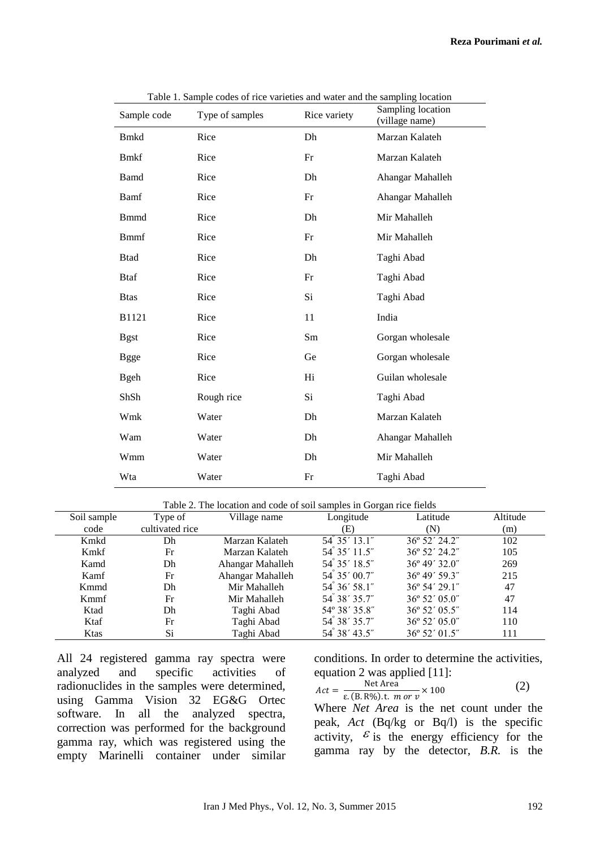| Sample code  | Table 1. Bample codes of fice varieties and water and the sampling focation<br>Type of samples | Rice variety | Sampling location<br>(village name) |
|--------------|------------------------------------------------------------------------------------------------|--------------|-------------------------------------|
| <b>Bmkd</b>  | Rice                                                                                           | Dh           | Marzan Kalateh                      |
| <b>Bmkf</b>  | Rice                                                                                           | Fr           | Marzan Kalateh                      |
| <b>Bamd</b>  | Rice                                                                                           | Dh           | Ahangar Mahalleh                    |
| Bamf         | Rice                                                                                           | Fr           | Ahangar Mahalleh                    |
| <b>B</b> mmd | Rice                                                                                           | Dh           | Mir Mahalleh                        |
| <b>Bmmf</b>  | Rice                                                                                           | Fr           | Mir Mahalleh                        |
| <b>Btad</b>  | Rice                                                                                           | Dh           | Taghi Abad                          |
| <b>Btaf</b>  | Rice                                                                                           | Fr           | Taghi Abad                          |
| <b>Btas</b>  | Rice                                                                                           | Si           | Taghi Abad                          |
| B1121        | Rice                                                                                           | 11           | India                               |
| <b>Bgst</b>  | Rice                                                                                           | Sm           | Gorgan wholesale                    |
| <b>Bgge</b>  | Rice                                                                                           | Ge           | Gorgan wholesale                    |
| <b>B</b> geh | Rice                                                                                           | Hi           | Guilan wholesale                    |
| ShSh         | Rough rice                                                                                     | Si           | Taghi Abad                          |
| Wmk          | Water                                                                                          | Dh           | Marzan Kalateh                      |
| Wam          | Water                                                                                          | Dh           | Ahangar Mahalleh                    |
| Wmm          | Water                                                                                          | Dh           | Mir Mahalleh                        |
| Wta          | Water                                                                                          | Fr           | Taghi Abad                          |

Table 1. Sample codes of rice varieties and water and the sampling location

Table 2. The location and code of soil samples in Gorgan rice fields

| Soil sample  | Type of         | Village name     | - – – –<br>Longitude  | Latitude                | Altitude |
|--------------|-----------------|------------------|-----------------------|-------------------------|----------|
| code         | cultivated rice |                  | (E)                   | N)                      | (m)      |
| Kmkd         | Dh              | Marzan Kalateh   | $54^{\circ}35'13.1''$ | $36^{\circ}$ 52' 24.2"  | 102      |
| Kmkf         | Fr              | Marzan Kalateh   | 54° 35′ 11.5″         | $36^{\circ}$ 52' 24.2"  | 105      |
| Kamd         | Dh              | Ahangar Mahalleh | 54 35' 18.5"          | $36^{\circ} 49' 32.0"$  | 269      |
| Kamf         | Fr              | Ahangar Mahalleh | 54° 35′ 00.7″         | $36^{\circ} 49' 59.3''$ | 215      |
| Kmmd         | Dh              | Mir Mahalleh     | $54^{\circ}36'58.1"$  | $36^{\circ} 54' 29.1''$ | 47       |
| Kmmf         | Fr              | Mir Mahalleh     | 54° 38′ 35.7″         | 36° 52′ 05.0″           | 47       |
| Ktad         | Dh              | Taghi Abad       | 54° 38′ 35.8″         | 36° 52′ 05.5″           | 114      |
| Ktaf         | Fr              | Taghi Abad       | 54° 38′ 35.7″         | $36^{\circ} 52' 05.0''$ | 110      |
| <b>K</b> tas | Si              | Taghi Abad       | 54 38' 43.5"          | 36° 52′ 01.5"           | 111      |

All 24 registered gamma ray spectra were analyzed and specific activities of radionuclides in the samples were determined, using Gamma Vision 32 EG&G Ortec software. In all the analyzed spectra, correction was performed for the background gamma ray, which was registered using the empty Marinelli container under similar conditions. In order to determine the activities, equation 2 was applied [11]:

$$
Act = \frac{\text{Net Area}}{\varepsilon. \text{(B. R\%)}.\text{t. } m \text{ or } v} \times 100 \tag{2}
$$

Where *Net Area* is the net count under the peak, *Act* (Bq/kg or Bq/l) is the specific activity,  $\epsilon$  is the energy efficiency for the gamma ray by the detector, *B.R.* is the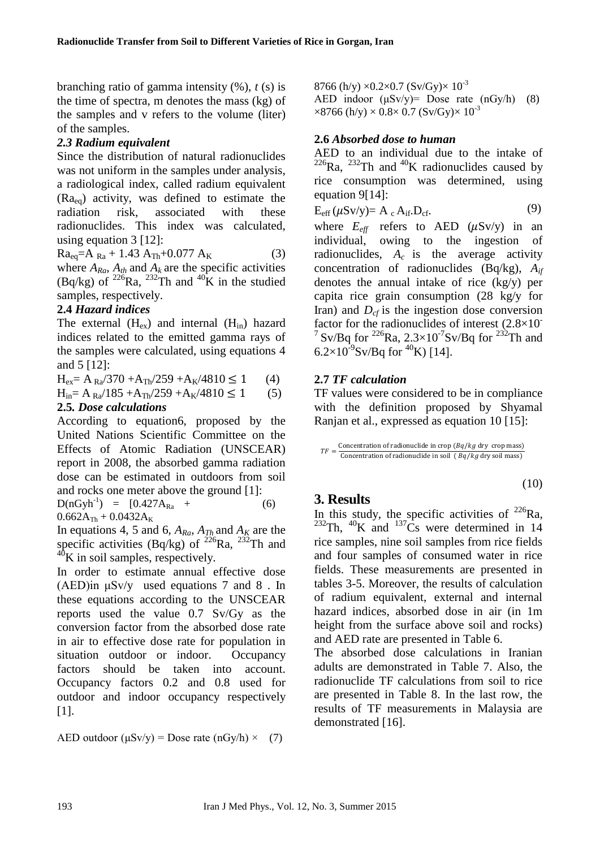branching ratio of gamma intensity (%), *t* (s) is the time of spectra, m denotes the mass (kg) of the samples and v refers to the volume (liter) of the samples.

### *2.3 Radium equivalent*

Since the distribution of natural radionuclides was not uniform in the samples under analysis, a radiological index, called radium equivalent  $(Ra_{eq})$  activity, was defined to estimate the radiation risk, associated with these radionuclides. This index was calculated, using equation 3 [12]:

 $Ra_{eq} = A_{Ra} + 1.43 A_{Th} + 0.077 A_{K}$  (3) where  $A_{Ra}$ ,  $A_{th}$  and  $A_k$  are the specific activities

(Bq/kg) of  $^{226}$ Ra,  $^{232}$ Th and  $^{40}$ K in the studied samples, respectively.

### **2.4** *Hazard indices*

The external  $(H_{ex})$  and internal  $(H_{in})$  hazard indices related to the emitted gamma rays of the samples were calculated, using equations 4 and 5 [12]:

 $H_{ex} = A_{Ra}/370 + A_{Th}/259 + A_{K}/4810 \le 1$  (4)

 $H_{in} = A_{Ra}/185 + A_{Th}/259 + A_{K}/4810 \le 1$  (5)

# **2.5***. Dose calculations*

According to equation6, proposed by the United Nations Scientific Committee on the Effects of Atomic Radiation (UNSCEAR) report in 2008, the absorbed gamma radiation dose can be estimated in outdoors from soil and rocks one meter above the ground [1]:

 $D(nGyh^{-1}) = [0.427A_{Ra} +$  $0.662A_{Th} + 0.0432A_{K}$ (6)

In equations 4, 5 and 6,  $A_{Ra}$ ,  $A_{Th}$  and  $A_K$  are the specific activities  $(Bq/kg)$  of  $^{226}Ra$ ,  $^{232}Th$  and  $^{40}$ K in soil samples, respectively.

In order to estimate annual effective dose (AED)in  $\mu$ Sv/y used equations 7 and 8. In these equations according to the UNSCEAR reports used the value 0.7 Sv/Gy as the conversion factor from the absorbed dose rate in air to effective dose rate for population in situation outdoor or indoor. Occupancy factors should be taken into account. Occupancy factors 0.2 and 0.8 used for outdoor and indoor occupancy respectively [1].

AED outdoor  $(\mu Sv/y)$  = Dose rate  $(nGy/h) \times (7)$ 

8766 (h/y)  $\times$ 0.2 $\times$ 0.7 (Sv/Gy) $\times$  10<sup>-3</sup> AED indoor  $(\mu Sv/y)$ = Dose rate  $(nGy/h)$  (8)  $\times 8766$  (h/y)  $\times 0.8 \times 0.7$  (Sv/Gy) $\times 10^{-3}$ 

#### **2.6** *Absorbed dose to human*

AED to an individual due to the intake of  $^{226}$ Ra,  $^{232}$ Th and  $^{40}$ K radionuclides caused by rice consumption was determined, using equation 9[14]:

$$
E_{eff} (\mu S v/y) = A_c A_{if}.D_{cf}.
$$
 (9)

where  $E_{\text{eff}}$  refers to AED ( $\mu$ Sv/y) in an individual, owing to the ingestion of radionuclides, *Ac* is the average activity concentration of radionuclides (Bq/kg), *Aif* denotes the annual intake of rice (kg/y) per capita rice grain consumption (28 kg/y for Iran) and  $D<sub>cf</sub>$  is the ingestion dose conversion factor for the radionuclides of interest  $(2.8\times10^{-7})$ <sup>7</sup> Sv/Bq for <sup>226</sup>Ra, 2.3×10<sup>-7</sup>Sv/Bq for <sup>232</sup>Th and 6.2×10<sup>-9</sup>Sv/Bq for <sup>40</sup>K) [14].

#### **2.7** *TF calculation*

TF values were considered to be in compliance with the definition proposed by Shyamal Ranjan et al., expressed as equation 10 [15]:

```
TF = \frac{\text{Sineulation of random.}}{\text{Concentration of radionuclide in soil } (Bq/kg \text{ dry soil mass})}Concentration of radionuclide in crop (Bq/kg dry crop mass)
```

$$
(10)
$$

# **3. Results**

In this study, the specific activities of  $^{226}$ Ra, <sup>232</sup>Th, <sup>40</sup>K and <sup>137</sup>C<sub>s</sub> were determined in 14 rice samples, nine soil samples from rice fields and four samples of consumed water in rice fields. These measurements are presented in tables 3-5. Moreover, the results of calculation of radium equivalent, external and internal hazard indices, absorbed dose in air (in 1m height from the surface above soil and rocks) and AED rate are presented in Table 6.

The absorbed dose calculations in Iranian adults are demonstrated in Table 7. Also, the radionuclide TF calculations from soil to rice are presented in Table 8. In the last row, the results of TF measurements in Malaysia are demonstrated [16].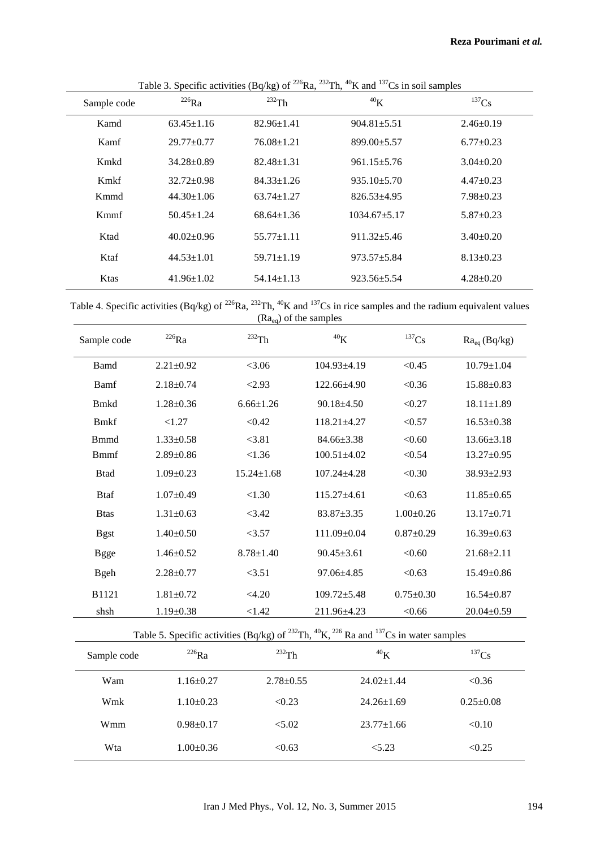| Sample code | $^{226}Ra$       | $P^{\text{center}}$<br>$^{232}$ Th | ${}^{40}\mathrm{K}$ | $^{137}Cs$      |
|-------------|------------------|------------------------------------|---------------------|-----------------|
| Kamd        | $63.45 \pm 1.16$ | $82.96 \pm 1.41$                   | $904.81 \pm 5.51$   | $2.46 \pm 0.19$ |
| Kamf        | $29.77 \pm 0.77$ | $76.08 \pm 1.21$                   | 899.00±5.57         | $6.77 \pm 0.23$ |
| Kmkd        | $34.28 \pm 0.89$ | $82.48 \pm 1.31$                   | $961.15 \pm 5.76$   | $3.04 \pm 0.20$ |
| Kmkf        | $32.72 \pm 0.98$ | $84.33 \pm 1.26$                   | $935.10 \pm 5.70$   | $4.47+0.23$     |
| Kmmd        | $44.30 \pm 1.06$ | $63.74 \pm 1.27$                   | $826.53 + 4.95$     | $7.98 \pm 0.23$ |
| Kmmf        | $50.45 \pm 1.24$ | $68.64 \pm 1.36$                   | $1034.67 + 5.17$    | $5.87 \pm 0.23$ |
| Ktad        | $40.02 \pm 0.96$ | $55.77 \pm 1.11$                   | $911.32 + 5.46$     | $3.40 \pm 0.20$ |
| Ktaf        | $44.53 \pm 1.01$ | $59.71 \pm 1.19$                   | $973.57 \pm 5.84$   | $8.13 \pm 0.23$ |
| Ktas        | $41.96 \pm 1.02$ | $54.14 \pm 1.13$                   | $923.56 \pm 5.54$   | $4.28 \pm 0.20$ |

Table 3. Specific activities (Bq/kg) of <sup>226</sup>Ra, <sup>232</sup>Th, <sup>40</sup>K and <sup>137</sup>Cs in soil samples

Table 4. Specific activities (Bq/kg) of <sup>226</sup>Ra, <sup>232</sup>Th, <sup>40</sup>K and <sup>137</sup>Cs in rice samples and the radium equivalent values  $(Ra_{eq})$  of the samples

| Sample code                                                                                                                          | $^{226}\mathrm{Ra}$ | $^{232}\mathrm{Th}$ | $^{40}{\rm K}$    | $^{137}\mathrm{Cs}$ | $Ra_{eq}(Bq/kg)$      |
|--------------------------------------------------------------------------------------------------------------------------------------|---------------------|---------------------|-------------------|---------------------|-----------------------|
| <b>Bamd</b>                                                                                                                          | $2.21 \pm 0.92$     | < 3.06              | 104.93±4.19       | < 0.45              | $10.79 \pm 1.04$      |
| Bamf                                                                                                                                 | $2.18 \pm 0.74$     | < 2.93              | 122.66±4.90       | < 0.36              | 15.88±0.83            |
| <b>B</b> mkd                                                                                                                         | $1.28 \pm 0.36$     | $6.66 \pm 1.26$     | $90.18 \pm 4.50$  | < 0.27              | $18.11 \pm 1.89$      |
| <b>Bmkf</b>                                                                                                                          | < 1.27              | < 0.42              | $118.21 \pm 4.27$ | < 0.57              | $16.53 \pm 0.38$      |
| <b>B</b> mmd                                                                                                                         | $1.33 \pm 0.58$     | < 3.81              | $84.66 \pm 3.38$  | < 0.60              | $13.66 \pm 3.18$      |
| <b>Bmmf</b>                                                                                                                          | $2.89 \pm 0.86$     | < 1.36              | $100.51 \pm 4.02$ | < 0.54              | $13.27 \pm 0.95$      |
| <b>Btad</b>                                                                                                                          | $1.09 \pm 0.23$     | $15.24 \pm 1.68$    | 107.24±4.28       | < 0.30              | 38.93±2.93            |
| <b>Btaf</b>                                                                                                                          | $1.07 \pm 0.49$     | < 1.30              | $115.27 \pm 4.61$ | < 0.63              | $11.85 \pm 0.65$      |
| <b>Btas</b>                                                                                                                          | $1.31 \pm 0.63$     | < 3.42              | $83.87 \pm 3.35$  | $1.00 \pm 0.26$     | $13.17 \pm 0.71$      |
| <b>Bgst</b>                                                                                                                          | $1.40 \pm 0.50$     | <3.57               | $111.09 \pm 0.04$ | $0.87 \pm 0.29$     | $16.39 \pm 0.63$      |
| <b>Bgge</b>                                                                                                                          | $1.46 \pm 0.52$     | $8.78 \pm 1.40$     | $90.45 \pm 3.61$  | < 0.60              | $21.68 \pm 2.11$      |
| <b>Bgeh</b>                                                                                                                          | $2.28 \pm 0.77$     | <3.51               | $97.06 \pm 4.85$  | < 0.63              | $15.49 \pm 0.86$      |
| B1121                                                                                                                                | $1.81 \pm 0.72$     | <4.20               | $109.72 \pm 5.48$ | $0.75 \pm 0.30$     | $16.54 \pm 0.87$      |
| shsh                                                                                                                                 | $1.19 \pm 0.38$     | <1.42               | 211.96±4.23       | < 0.66              | $20.04 \pm 0.59$      |
| Table 5. Specific activities (Bq/kg) of <sup>232</sup> Th, <sup>40</sup> K, <sup>226</sup> Ra and <sup>137</sup> Cs in water samples |                     |                     |                   |                     |                       |
| Sample code                                                                                                                          | $^{226}\mathrm{Ra}$ | $\mathrm{^{232}Th}$ |                   | $^{40}\mathrm{K}$   | ${}^{137}\mathrm{Cs}$ |

| Sample code | <sup>220</sup> Ra | $^{232}Th$      | $\rm ^{40}K$     | $^{137}Cs$      |
|-------------|-------------------|-----------------|------------------|-----------------|
| Wam         | $1.16 \pm 0.27$   | $2.78 \pm 0.55$ | $24.02 \pm 1.44$ | < 0.36          |
| Wmk         | $1.10\pm0.23$     | < 0.23          | $24.26 \pm 1.69$ | $0.25 \pm 0.08$ |
| Wmm         | $0.98 \pm 0.17$   | < 5.02          | $23.77 \pm 1.66$ | < 0.10          |
| Wta         | $1.00 \pm 0.36$   | < 0.63          | < 5.23           | < 0.25          |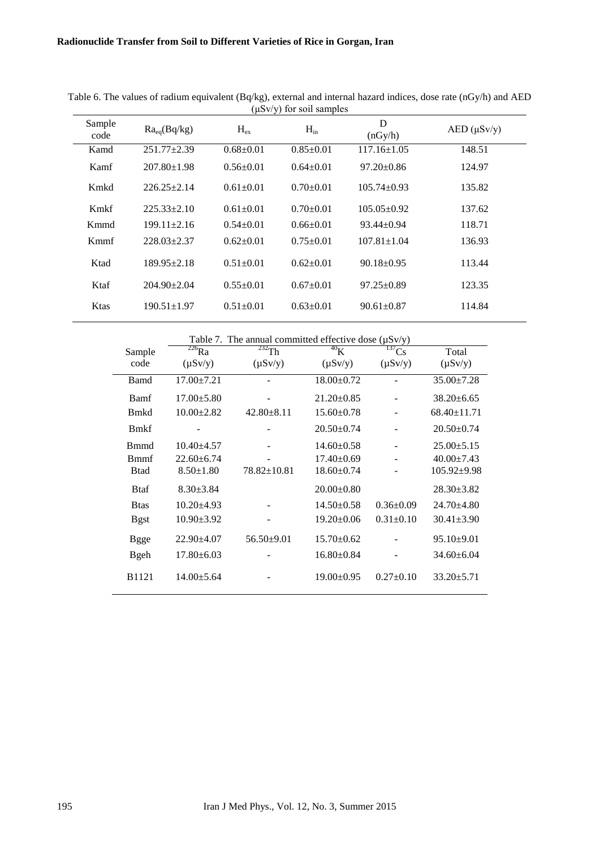| Sample<br>code | $Ra_{eq}(Bq/kg)$  | $H_{\rm ex}$    | $H_{in}$        | D<br>(nGy/h)      | $AED$ ( $\mu Sv/y$ ) |
|----------------|-------------------|-----------------|-----------------|-------------------|----------------------|
| Kamd           | 251.77±2.39       | $0.68 \pm 0.01$ | $0.85 \pm 0.01$ | $117.16 \pm 1.05$ | 148.51               |
| Kamf           | $207.80 \pm 1.98$ | $0.56 \pm 0.01$ | $0.64 \pm 0.01$ | $97.20 \pm 0.86$  | 124.97               |
| Kmkd           | $226.25 + 2.14$   | $0.61 \pm 0.01$ | $0.70+0.01$     | $105.74 \pm 0.93$ | 135.82               |
| Kmkf           | $225.33 \pm 2.10$ | $0.61 \pm 0.01$ | $0.70+0.01$     | $105.05 \pm 0.92$ | 137.62               |
| Kmmd           | $199.11 \pm 2.16$ | $0.54 \pm 0.01$ | $0.66 \pm 0.01$ | $93.44 \pm 0.94$  | 118.71               |
| Kmmf           | $228.03+2.37$     | $0.62 \pm 0.01$ | $0.75 \pm 0.01$ | $107.81 \pm 1.04$ | 136.93               |
| Ktad           | $189.95 \pm 2.18$ | $0.51 \pm 0.01$ | $0.62 \pm 0.01$ | $90.18 \pm 0.95$  | 113.44               |
| Ktaf           | $204.90 \pm 2.04$ | $0.55+0.01$     | $0.67+0.01$     | $97.25 \pm 0.89$  | 123.35               |
| Ktas           | $190.51 \pm 1.97$ | $0.51 \pm 0.01$ | $0.63 \pm 0.01$ | $90.61 \pm 0.87$  | 114.84               |

Table 6. The values of radium equivalent (Bq/kg), external and internal hazard indices, dose rate (nGy/h) and AED (μSv/y) for soil samples

|              | Table 7. The annual committed effective dose $(\mu S v/y)$ |                   |                  |                 |                   |  |
|--------------|------------------------------------------------------------|-------------------|------------------|-----------------|-------------------|--|
| Sample       | $^{226}Ra$                                                 | $^{232}$ Th       | $^{40}$ K        | $^{137}Cs$      | Total             |  |
| code         | $(\mu Sv/y)$                                               | $(\mu Sv/y)$      | $(\mu Sv/y)$     | $(\mu Sv/y)$    | $(\mu Sv/y)$      |  |
| <b>Bamd</b>  | $17.00 \pm 7.21$                                           |                   | $18.00 \pm 0.72$ |                 | $35.00 \pm 7.28$  |  |
| Bamf         | $17.00 \pm 5.80$                                           |                   | $21.20 \pm 0.85$ |                 | $38.20 \pm 6.65$  |  |
| <b>B</b> mkd | $10.00 \pm 2.82$                                           | $42.80 \pm 8.11$  | $15.60 \pm 0.78$ |                 | $68.40 \pm 11.71$ |  |
| <b>B</b> mkf |                                                            |                   | $20.50 \pm 0.74$ |                 | $20.50 \pm 0.74$  |  |
| <b>B</b> mmd | $10.40 \pm 4.57$                                           |                   | $14.60 \pm 0.58$ |                 | $25.00 \pm 5.15$  |  |
| <b>B</b> mmf | $22.60 \pm 6.74$                                           |                   | $17.40 \pm 0.69$ |                 | $40.00 \pm 7.43$  |  |
| <b>B</b> tad | $8.50 \pm 1.80$                                            | $78.82 \pm 10.81$ | $18.60 \pm 0.74$ |                 | $105.92 \pm 9.98$ |  |
| <b>Btaf</b>  | $8.30 \pm 3.84$                                            |                   | $20.00 \pm 0.80$ |                 | $28.30 \pm 3.82$  |  |
| <b>B</b> tas | $10.20 \pm 4.93$                                           |                   | $14.50 \pm 0.58$ | $0.36 \pm 0.09$ | $24.70 \pm 4.80$  |  |
| <b>Bgst</b>  | $10.90 \pm 3.92$                                           |                   | $19.20 \pm 0.06$ | $0.31 \pm 0.10$ | $30.41 \pm 3.90$  |  |
| <b>Bgge</b>  | $22.90 \pm 4.07$                                           | $56.50 \pm 9.01$  | $15.70 \pm 0.62$ |                 | $95.10 \pm 9.01$  |  |
| <b>B</b> geh | $17.80 \pm 6.03$                                           |                   | $16.80 \pm 0.84$ |                 | $34.60 \pm 6.04$  |  |
| <b>B1121</b> | $14.00 \pm 5.64$                                           |                   | $19.00 \pm 0.95$ | $0.27 \pm 0.10$ | $33.20 \pm 5.71$  |  |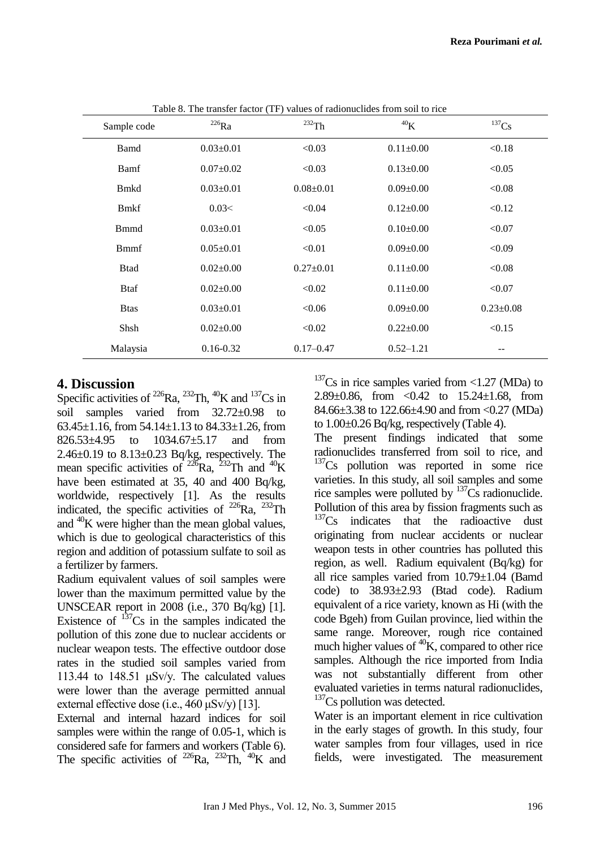| Sample code  | $^{226}Ra$      | $^{232}$ Th     | 40 <sub>K</sub> | $^{137}Cs$      |
|--------------|-----------------|-----------------|-----------------|-----------------|
| Bamd         | $0.03 \pm 0.01$ | < 0.03          | $0.11 \pm 0.00$ | < 0.18          |
| Bamf         | $0.07 \pm 0.02$ | < 0.03          | $0.13 \pm 0.00$ | < 0.05          |
| <b>B</b> mkd | $0.03 \pm 0.01$ | $0.08 \pm 0.01$ | $0.09 \pm 0.00$ | < 0.08          |
| <b>B</b> mkf | 0.03<           | < 0.04          | $0.12 \pm 0.00$ | < 0.12          |
| <b>B</b> mmd | $0.03 \pm 0.01$ | < 0.05          | $0.10\pm0.00$   | < 0.07          |
| <b>B</b> mmf | $0.05 \pm 0.01$ | < 0.01          | $0.09 \pm 0.00$ | < 0.09          |
| <b>Btad</b>  | $0.02 \pm 0.00$ | $0.27 \pm 0.01$ | $0.11 \pm 0.00$ | < 0.08          |
| <b>B</b> taf | $0.02 \pm 0.00$ | < 0.02          | $0.11 \pm 0.00$ | < 0.07          |
| <b>B</b> tas | $0.03 \pm 0.01$ | < 0.06          | $0.09 \pm 0.00$ | $0.23 \pm 0.08$ |
| Shsh         | $0.02 \pm 0.00$ | < 0.02          | $0.22 \pm 0.00$ | < 0.15          |
| Malaysia     | $0.16 - 0.32$   | $0.17 - 0.47$   | $0.52 - 1.21$   | --              |

Table 8. The transfer factor (TF) values of radionuclides from soil to rice

### **4. Discussion**

Specific activities of  $^{226}$ Ra,  $^{232}$ Th,  $^{40}$ K and  $^{137}$ Cs in soil samples varied from 32.72±0.98 to 63.45 $\pm$ 1.16, from 54.14 $\pm$ 1.13 to 84.33 $\pm$ 1.26, from 826.53±4.95 to 1034.67±5.17 and from 2.46±0.19 to 8.13±0.23 Bq/kg, respectively. The mean specific activities of <sup>226</sup>Ra, <sup>232</sup>Th and <sup>40</sup>K have been estimated at 35, 40 and 400 Bq/kg, worldwide, respectively [1]. As the results indicated, the specific activities of  $^{226}Ra$ ,  $^{232}Th$ and  $^{40}$ K were higher than the mean global values, which is due to geological characteristics of this region and addition of potassium sulfate to soil as a fertilizer by farmers.

Radium equivalent values of soil samples were lower than the maximum permitted value by the UNSCEAR report in 2008 (i.e., 370 Bq/kg) [1]. Existence of  $137$ Cs in the samples indicated the pollution of this zone due to nuclear accidents or nuclear weapon tests. The effective outdoor dose rates in the studied soil samples varied from 113.44 to 148.51 μSv/y. The calculated values were lower than the average permitted annual external effective dose (i.e., 460 μSv/y) [13].

External and internal hazard indices for soil samples were within the range of 0.05-1, which is considered safe for farmers and workers (Table 6). The specific activities of  $^{226}$ Ra,  $^{232}$ Th,  $^{40}$ K and  $137$ Cs in rice samples varied from <1.27 (MDa) to 2.89 $\pm$ 0.86, from  $\lt$ 0.42 to 15.24 $\pm$ 1.68, from 84.66±3.38 to 122.66±4.90 and from <0.27 (MDa) to 1.00±0.26 Bq/kg, respectively (Table 4).

The present findings indicated that some radionuclides transferred from soil to rice, and  $137Cs$  pollution was reported in some rice varieties. In this study, all soil samples and some rice samples were polluted by  $137\text{Cs}$  radionuclide. Pollution of this area by fission fragments such as  $137Cs$  indicates that the radioactive dust originating from nuclear accidents or nuclear weapon tests in other countries has polluted this region, as well. Radium equivalent (Bq/kg) for all rice samples varied from 10.79±1.04 (Bamd code) to 38.93±2.93 (Btad code). Radium equivalent of a rice variety, known as Hi (with the code Bgeh) from Guilan province, lied within the same range. Moreover, rough rice contained much higher values of  ${}^{40}K$ , compared to other rice samples. Although the rice imported from India was not substantially different from other evaluated varieties in terms natural radionuclides,  $137$ Cs pollution was detected.

Water is an important element in rice cultivation in the early stages of growth. In this study, four water samples from four villages, used in rice fields, were investigated. The measurement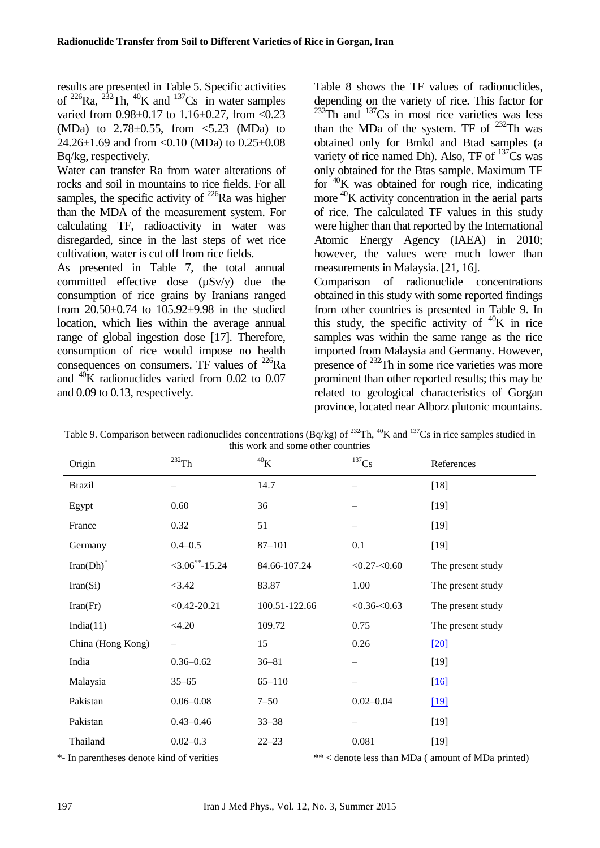results are presented in Table 5. Specific activities of  $^{226}$ Ra,  $^{232}$ Th,  $^{40}$ K and  $^{137}$ Cs in water samples varied from 0.98±0.17 to 1.16±0.27, from <0.23 (MDa) to  $2.78 \pm 0.55$ , from  $\leq 5.23$  (MDa) to 24.26±1.69 and from <0.10 (MDa) to 0.25±0.08 Bq/kg, respectively.

Water can transfer Ra from water alterations of rocks and soil in mountains to rice fields. For all samples, the specific activity of  $^{226}$ Ra was higher than the MDA of the measurement system. For calculating TF, radioactivity in water was disregarded, since in the last steps of wet rice cultivation, water is cut off from rice fields.

As presented in Table 7, the total annual committed effective dose (µSv/y) due the consumption of rice grains by Iranians ranged from 20.50±0.74 to 105.92±9.98 in the studied location, which lies within the average annual range of global ingestion dose [17]. Therefore, consumption of rice would impose no health consequences on consumers. TF values of  $^{226}Ra$ and  $^{40}$ K radionuclides varied from 0.02 to 0.07 and 0.09 to 0.13, respectively.

Table 8 shows the TF values of radionuclides, depending on the variety of rice. This factor for  $232$ Th and  $137$ Cs in most rice varieties was less than the MDa of the system. TF of  $^{232}$ Th was obtained only for Bmkd and Btad samples (a variety of rice named Dh). Also, TF of  $^{137}Cs$  was only obtained for the Btas sample. Maximum TF for <sup>40</sup>K was obtained for rough rice, indicating more <sup>40</sup>K activity concentration in the aerial parts of rice. The calculated TF values in this study were higher than that reported by the International Atomic Energy Agency (IAEA) in 2010; however, the values were much lower than measurements in Malaysia. [21, 16].

Comparison of radionuclide concentrations obtained in this study with some reported findings from other countries is presented in Table 9. In this study, the specific activity of  $40K$  in rice samples was within the same range as the rice imported from Malaysia and Germany. However, presence of <sup>232</sup>Th in some rice varieties was more prominent than other reported results; this may be related to geological characteristics of Gorgan province, located near Alborz plutonic mountains.

| Origin                  | $^{232}\mathrm{Th}$     | 40 <sub>K</sub> | $^{137}\mathrm{Cs}$ | References        |
|-------------------------|-------------------------|-----------------|---------------------|-------------------|
| <b>Brazil</b>           |                         | 14.7            |                     | $[18]$            |
| Egypt                   | 0.60                    | 36              |                     | $[19]$            |
| France                  | 0.32                    | 51              |                     | $[19]$            |
| Germany                 | $0.4 - 0.5$             | $87 - 101$      | 0.1                 | $[19]$            |
| $Iran(Dh)$ <sup>*</sup> | $<$ 3.06 $^{**}$ -15.24 | 84.66-107.24    | $< 0.27 - 0.60$     | The present study |
| Iran(Si)                | < 3.42                  | 83.87           | 1.00                | The present study |
| Iran(Fr)                | $< 0.42 - 20.21$        | 100.51-122.66   | $< 0.36 - 0.63$     | The present study |
| India(11)               | < 4.20                  | 109.72          | 0.75                | The present study |
| China (Hong Kong)       |                         | 15              | 0.26                | [20]              |
| India                   | $0.36 - 0.62$           | $36 - 81$       |                     | $[19]$            |
| Malaysia                | $35 - 65$               | $65 - 110$      |                     | $[16]$            |
| Pakistan                | $0.06 - 0.08$           | $7 - 50$        | $0.02 - 0.04$       | $19$              |
| Pakistan                | $0.43 - 0.46$           | $33 - 38$       |                     | $[19]$            |
| Thailand                | $0.02 - 0.3$            | $22 - 23$       | 0.081               | $[19]$            |

Table 9. Comparison between radionuclides concentrations (Bq/kg) of  $^{232}Th$ ,  $^{40}K$  and  $^{137}Cs$  in rice samples studied in this work and some other countries

\*- In parentheses denote kind of verities \*\* < denote less than MDa ( amount of MDa printed)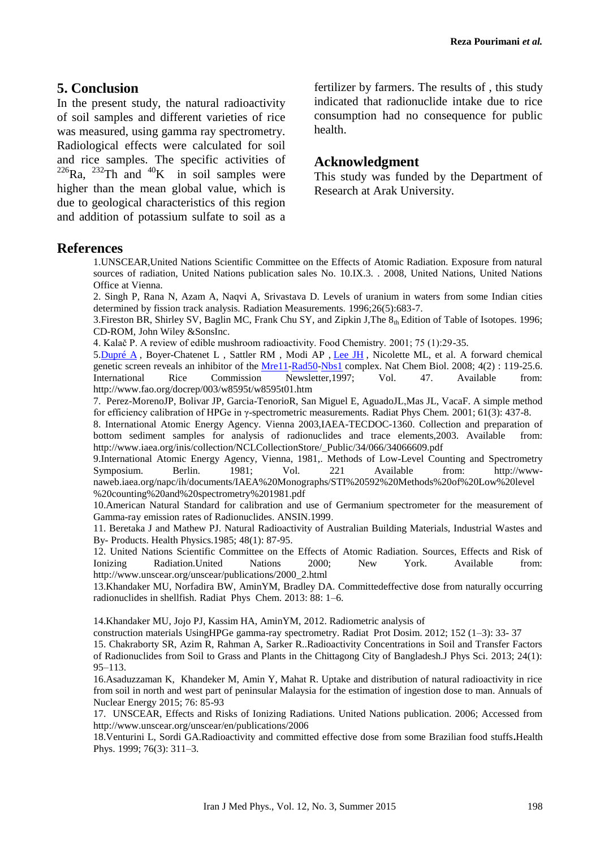# **5. Conclusion**

In the present study, the natural radioactivity of soil samples and different varieties of rice was measured, using gamma ray spectrometry. Radiological effects were calculated for soil and rice samples. The specific activities of  $^{226}$ Ra,  $^{232}$ Th and  $^{40}$ K in soil samples were higher than the mean global value, which is due to geological characteristics of this region and addition of potassium sulfate to soil as a fertilizer by farmers. The results of , this study indicated that radionuclide intake due to rice consumption had no consequence for public health.

### **Acknowledgment**

This study was funded by the Department of Research at Arak University.

#### **References**

1.UNSCEAR,United Nations Scientific Committee on the Effects of Atomic Radiation. Exposure from natural sources of radiation, United Nations publication sales No. 10.IX.3. . 2008, United Nations, United Nations Office at Vienna.

2. Singh P, Rana N, Azam A, Naqvi A, Srivastava D. Levels of uranium in waters from some Indian cities determined by fission track analysis. Radiation Measurements. 1996;26(5):683-7.

3. Fireston BR, Shirley SV, Baglin MC, Frank Chu SY, and Zipkin J, The  $8<sub>th</sub>$  Edition of Table of Isotopes. 1996; CD-ROM, John Wiley &SonsInc.

4. Kalač P. A review of edible mushroom radioactivity. Food Chemistry. 2001; 75 (1):29-35.

5. Dupré  $\overline{A}$ , Boyer-Chatenet L, Sattler RM, Modi AP, [Lee JH](http://www.xenbase.org/community/person.do?method=display&personId=2471&tabId=0), Nicolette ML, et al. A forward chemical genetic screen reveals an inhibitor of the <u>[Mre11-](http://www.xenbase.org/common/resolveLink.do?method=execute&linkMatchId=206647)[Rad50-](http://www.xenbase.org/common/resolveLink.do?method=execute&linkMatchId=116993)[Nbs1](http://www.xenbase.org/common/resolveLink.do?method=execute&linkMatchId=206670)</u> complex. Nat Chem Biol. 2008; 4(2) : 119-25.6. International Rice Commission Newsletter,1997; Vol. 47. Available from: http://www.fao.org/docrep/003/w8595t/w8595t01.htm

7. Perez-MorenoJP, Bolivar JP, Garcia-TenorioR, San Miguel E, AguadoJL,Mas JL, VacaF. A simple method for efficiency calibration of HPGe in γ-spectrometric measurements. Radiat Phys Chem*.* 2001; 61(3): 437-8.

8. International Atomic Energy Agency. Vienna 2003,IAEA-TECDOC-1360. Collection and preparation of bottom sediment samples for analysis of radionuclides and trace elements,2003. Available from: http://www.iaea.org/inis/collection/NCLCollectionStore/\_Public/34/066/34066609.pdf

9.International Atomic Energy Agency, Vienna, 1981,. Methods of Low-Level Counting and Spectrometry Symposium. Berlin. 1981; Vol. 221 Available from: http://wwwnaweb.iaea.org/napc/ih/documents/IAEA%20Monographs/STI%20592%20Methods%20of%20Low%20level %20counting%20and%20spectrometry%201981.pdf

10.American Natural Standard for calibration and use of Germanium spectrometer for the measurement of Gamma-ray emission rates of Radionuclides. ANSIN.1999.

11. Beretaka J and Mathew PJ. Natural Radioactivity of Australian Building Materials, Industrial Wastes and By- Products. Health Physics.1985; 48(1): 87-95.

12. United Nations Scientific Committee on the Effects of Atomic Radiation. Sources, Effects and Risk of Ionizing Radiation.United Nations 2000; New York. Available from: http://www.unscear.org/unscear/publications/2000\_2.html

13.Khandaker MU, Norfadira BW, AminYM, Bradley DA. Committedeffective dose from naturally occurring radionuclides in shellfish. Radiat Phys Chem. 2013: 88: 1–6.

14.Khandaker MU, Jojo PJ, Kassim HA, AminYM, 2012. Radiometric analysis of

construction materials UsingHPGe gamma-ray spectrometry. Radiat Prot Dosim. 2012; 152 (1–3): 33- 37

15. Chakraborty SR, Azim R, Rahman A, Sarker R..Radioactivity Concentrations in Soil and Transfer Factors of Radionuclides from Soil to Grass and Plants in the Chittagong City of Bangladesh.J Phys Sci. 2013; 24(1): 95–113.

16.Asaduzzaman K, Khandeker M, Amin Y, Mahat R. Uptake and distribution of natural radioactivity in rice from soil in north and west part of peninsular Malaysia for the estimation of ingestion dose to man. Annuals of Nuclear Energy 2015; 76: 85-93

17. UNSCEAR, Effects and Risks of Ionizing Radiations. United Nations publication. 2006; Accessed from http://www.unscear.org/unscear/en/publications/2006

18.Venturini L, Sordi GA.Radioactivity and committed effective dose from some Brazilian food stuffs**.**Health Phys. 1999; 76(3): 311–3.